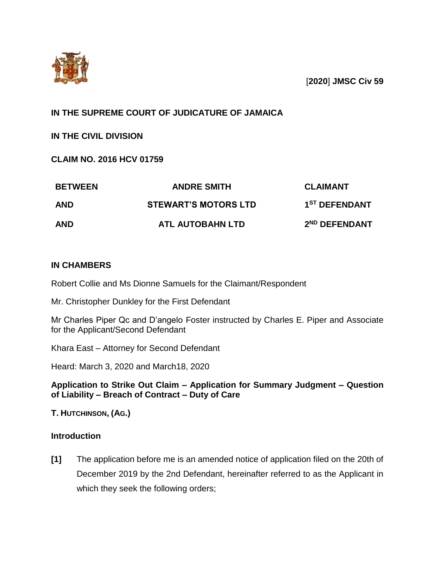

[**2020**] **JMSC Civ 59**

# **IN THE SUPREME COURT OF JUDICATURE OF JAMAICA**

**IN THE CIVIL DIVISION**

**CLAIM NO. 2016 HCV 01759**

| <b>BETWEEN</b><br><b>AND</b> | <b>ANDRE SMITH</b><br><b>STEWART'S MOTORS LTD</b> | <b>CLAIMANT</b><br>1 <sup>ST</sup> DEFENDANT |
|------------------------------|---------------------------------------------------|----------------------------------------------|
|                              |                                                   |                                              |

## **IN CHAMBERS**

Robert Collie and Ms Dionne Samuels for the Claimant/Respondent

Mr. Christopher Dunkley for the First Defendant

Mr Charles Piper Qc and D'angelo Foster instructed by Charles E. Piper and Associate for the Applicant/Second Defendant

Khara East – Attorney for Second Defendant

Heard: March 3, 2020 and March18, 2020

**Application to Strike Out Claim – Application for Summary Judgment – Question of Liability – Breach of Contract – Duty of Care**

**T. HUTCHINSON, (AG.)**

# **Introduction**

**[1]** The application before me is an amended notice of application filed on the 20th of December 2019 by the 2nd Defendant, hereinafter referred to as the Applicant in which they seek the following orders;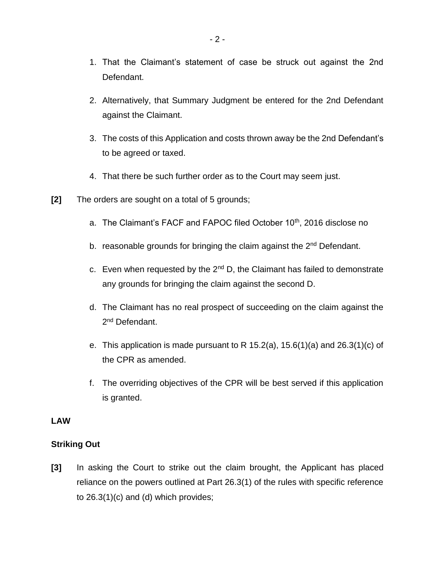- 1. That the Claimant's statement of case be struck out against the 2nd Defendant.
- 2. Alternatively, that Summary Judgment be entered for the 2nd Defendant against the Claimant.
- 3. The costs of this Application and costs thrown away be the 2nd Defendant's to be agreed or taxed.
- 4. That there be such further order as to the Court may seem just.
- **[2]** The orders are sought on a total of 5 grounds;
	- a. The Claimant's FACF and FAPOC filed October 10<sup>th</sup>, 2016 disclose no
	- b. reasonable grounds for bringing the claim against the 2<sup>nd</sup> Defendant.
	- c. Even when requested by the  $2^{nd}$  D, the Claimant has failed to demonstrate any grounds for bringing the claim against the second D.
	- d. The Claimant has no real prospect of succeeding on the claim against the 2<sup>nd</sup> Defendant.
	- e. This application is made pursuant to R  $15.2(a)$ ,  $15.6(1)(a)$  and  $26.3(1)(c)$  of the CPR as amended.
	- f. The overriding objectives of the CPR will be best served if this application is granted.

#### **LAW**

### **Striking Out**

**[3]** In asking the Court to strike out the claim brought, the Applicant has placed reliance on the powers outlined at Part 26.3(1) of the rules with specific reference to 26.3(1)(c) and (d) which provides;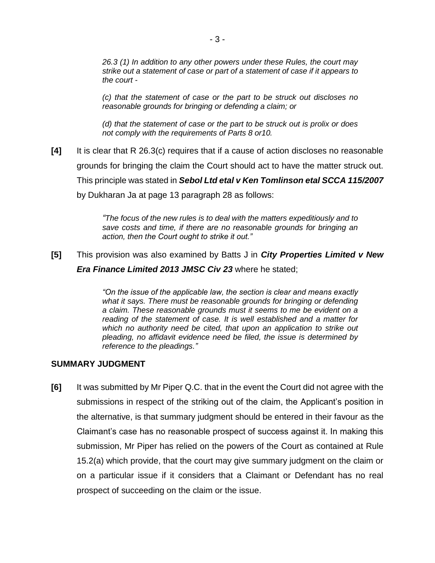*26.3 (1) In addition to any other powers under these Rules, the court may strike out a statement of case or part of a statement of case if it appears to the court -*

*(c) that the statement of case or the part to be struck out discloses no reasonable grounds for bringing or defending a claim; or*

*(d) that the statement of case or the part to be struck out is prolix or does not comply with the requirements of Parts 8 or10.*

**[4]** It is clear that R 26.3(c) requires that if a cause of action discloses no reasonable grounds for bringing the claim the Court should act to have the matter struck out. This principle was stated in *Sebol Ltd etal v Ken Tomlinson etal SCCA 115/2007* by Dukharan Ja at page 13 paragraph 28 as follows:

> *"The focus of the new rules is to deal with the matters expeditiously and to save costs and time, if there are no reasonable grounds for bringing an action, then the Court ought to strike it out."*

**[5]** This provision was also examined by Batts J in *City Properties Limited v New Era Finance Limited 2013 JMSC Civ 23* where he stated;

> *"On the issue of the applicable law, the section is clear and means exactly*  what it says. There must be reasonable grounds for bringing or defending *a claim. These reasonable grounds must it seems to me be evident on a reading of the statement of case. It is well established and a matter for which no authority need be cited, that upon an application to strike out pleading, no affidavit evidence need be filed, the issue is determined by reference to the pleadings."*

### **SUMMARY JUDGMENT**

**[6]** It was submitted by Mr Piper Q.C. that in the event the Court did not agree with the submissions in respect of the striking out of the claim, the Applicant's position in the alternative, is that summary judgment should be entered in their favour as the Claimant's case has no reasonable prospect of success against it. In making this submission, Mr Piper has relied on the powers of the Court as contained at Rule 15.2(a) which provide, that the court may give summary judgment on the claim or on a particular issue if it considers that a Claimant or Defendant has no real prospect of succeeding on the claim or the issue.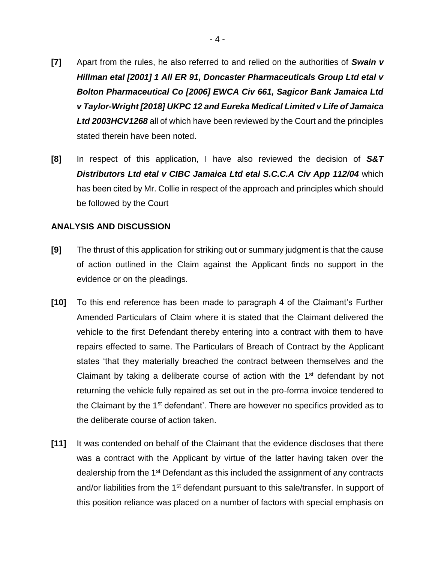- **[7]** Apart from the rules, he also referred to and relied on the authorities of *Swain v Hillman etal [2001] 1 All ER 91, Doncaster Pharmaceuticals Group Ltd etal v Bolton Pharmaceutical Co [2006] EWCA Civ 661, Sagicor Bank Jamaica Ltd v Taylor-Wright [2018] UKPC 12 and Eureka Medical Limited v Life of Jamaica Ltd 2003HCV1268* all of which have been reviewed by the Court and the principles stated therein have been noted.
- **[8]** In respect of this application, I have also reviewed the decision of *S&T Distributors Ltd etal v CIBC Jamaica Ltd etal S.C.C.A Civ App 112/04* which has been cited by Mr. Collie in respect of the approach and principles which should be followed by the Court

### **ANALYSIS AND DISCUSSION**

- **[9]** The thrust of this application for striking out or summary judgment is that the cause of action outlined in the Claim against the Applicant finds no support in the evidence or on the pleadings.
- **[10]** To this end reference has been made to paragraph 4 of the Claimant's Further Amended Particulars of Claim where it is stated that the Claimant delivered the vehicle to the first Defendant thereby entering into a contract with them to have repairs effected to same. The Particulars of Breach of Contract by the Applicant states 'that they materially breached the contract between themselves and the Claimant by taking a deliberate course of action with the  $1<sup>st</sup>$  defendant by not returning the vehicle fully repaired as set out in the pro-forma invoice tendered to the Claimant by the 1<sup>st</sup> defendant'. There are however no specifics provided as to the deliberate course of action taken.
- **[11]** It was contended on behalf of the Claimant that the evidence discloses that there was a contract with the Applicant by virtue of the latter having taken over the dealership from the 1<sup>st</sup> Defendant as this included the assignment of any contracts and/or liabilities from the 1<sup>st</sup> defendant pursuant to this sale/transfer. In support of this position reliance was placed on a number of factors with special emphasis on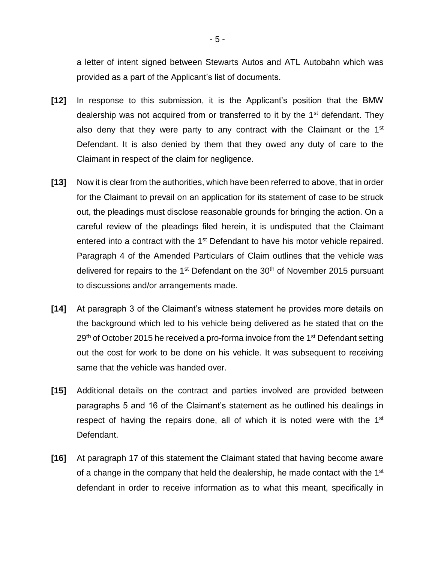a letter of intent signed between Stewarts Autos and ATL Autobahn which was provided as a part of the Applicant's list of documents.

- **[12]** In response to this submission, it is the Applicant's position that the BMW dealership was not acquired from or transferred to it by the 1<sup>st</sup> defendant. They also deny that they were party to any contract with the Claimant or the 1<sup>st</sup> Defendant. It is also denied by them that they owed any duty of care to the Claimant in respect of the claim for negligence.
- **[13]** Now it is clear from the authorities, which have been referred to above, that in order for the Claimant to prevail on an application for its statement of case to be struck out, the pleadings must disclose reasonable grounds for bringing the action. On a careful review of the pleadings filed herein, it is undisputed that the Claimant entered into a contract with the 1<sup>st</sup> Defendant to have his motor vehicle repaired. Paragraph 4 of the Amended Particulars of Claim outlines that the vehicle was delivered for repairs to the  $1<sup>st</sup>$  Defendant on the  $30<sup>th</sup>$  of November 2015 pursuant to discussions and/or arrangements made.
- **[14]** At paragraph 3 of the Claimant's witness statement he provides more details on the background which led to his vehicle being delivered as he stated that on the  $29<sup>th</sup>$  of October 2015 he received a pro-forma invoice from the 1<sup>st</sup> Defendant setting out the cost for work to be done on his vehicle. It was subsequent to receiving same that the vehicle was handed over.
- **[15]** Additional details on the contract and parties involved are provided between paragraphs 5 and 16 of the Claimant's statement as he outlined his dealings in respect of having the repairs done, all of which it is noted were with the 1<sup>st</sup> Defendant.
- **[16]** At paragraph 17 of this statement the Claimant stated that having become aware of a change in the company that held the dealership, he made contact with the 1<sup>st</sup> defendant in order to receive information as to what this meant, specifically in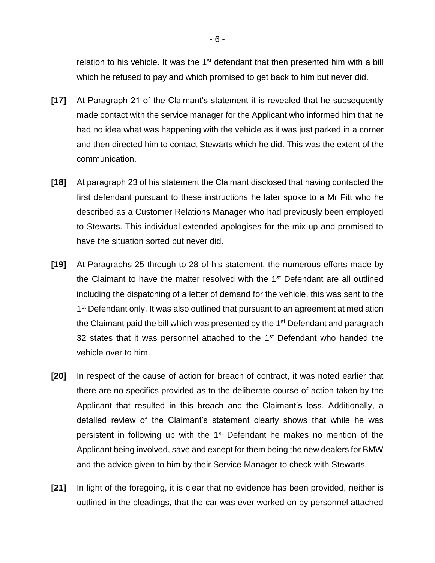relation to his vehicle. It was the  $1<sup>st</sup>$  defendant that then presented him with a bill which he refused to pay and which promised to get back to him but never did.

- **[17]** At Paragraph 21 of the Claimant's statement it is revealed that he subsequently made contact with the service manager for the Applicant who informed him that he had no idea what was happening with the vehicle as it was just parked in a corner and then directed him to contact Stewarts which he did. This was the extent of the communication.
- **[18]** At paragraph 23 of his statement the Claimant disclosed that having contacted the first defendant pursuant to these instructions he later spoke to a Mr Fitt who he described as a Customer Relations Manager who had previously been employed to Stewarts. This individual extended apologises for the mix up and promised to have the situation sorted but never did.
- **[19]** At Paragraphs 25 through to 28 of his statement, the numerous efforts made by the Claimant to have the matter resolved with the 1<sup>st</sup> Defendant are all outlined including the dispatching of a letter of demand for the vehicle, this was sent to the 1<sup>st</sup> Defendant only. It was also outlined that pursuant to an agreement at mediation the Claimant paid the bill which was presented by the 1<sup>st</sup> Defendant and paragraph 32 states that it was personnel attached to the  $1<sup>st</sup>$  Defendant who handed the vehicle over to him.
- **[20]** In respect of the cause of action for breach of contract, it was noted earlier that there are no specifics provided as to the deliberate course of action taken by the Applicant that resulted in this breach and the Claimant's loss. Additionally, a detailed review of the Claimant's statement clearly shows that while he was persistent in following up with the  $1<sup>st</sup>$  Defendant he makes no mention of the Applicant being involved, save and except for them being the new dealers for BMW and the advice given to him by their Service Manager to check with Stewarts.
- **[21]** In light of the foregoing, it is clear that no evidence has been provided, neither is outlined in the pleadings, that the car was ever worked on by personnel attached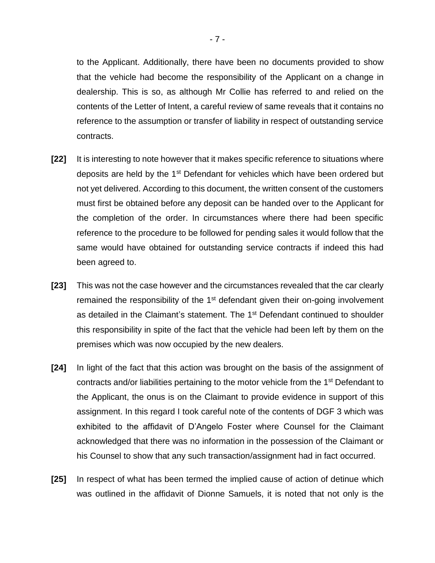to the Applicant. Additionally, there have been no documents provided to show that the vehicle had become the responsibility of the Applicant on a change in dealership. This is so, as although Mr Collie has referred to and relied on the contents of the Letter of Intent, a careful review of same reveals that it contains no reference to the assumption or transfer of liability in respect of outstanding service contracts.

- **[22]** It is interesting to note however that it makes specific reference to situations where deposits are held by the 1<sup>st</sup> Defendant for vehicles which have been ordered but not yet delivered. According to this document, the written consent of the customers must first be obtained before any deposit can be handed over to the Applicant for the completion of the order. In circumstances where there had been specific reference to the procedure to be followed for pending sales it would follow that the same would have obtained for outstanding service contracts if indeed this had been agreed to.
- **[23]** This was not the case however and the circumstances revealed that the car clearly remained the responsibility of the  $1<sup>st</sup>$  defendant given their on-going involvement as detailed in the Claimant's statement. The 1<sup>st</sup> Defendant continued to shoulder this responsibility in spite of the fact that the vehicle had been left by them on the premises which was now occupied by the new dealers.
- **[24]** In light of the fact that this action was brought on the basis of the assignment of contracts and/or liabilities pertaining to the motor vehicle from the 1<sup>st</sup> Defendant to the Applicant, the onus is on the Claimant to provide evidence in support of this assignment. In this regard I took careful note of the contents of DGF 3 which was exhibited to the affidavit of D'Angelo Foster where Counsel for the Claimant acknowledged that there was no information in the possession of the Claimant or his Counsel to show that any such transaction/assignment had in fact occurred.
- **[25]** In respect of what has been termed the implied cause of action of detinue which was outlined in the affidavit of Dionne Samuels, it is noted that not only is the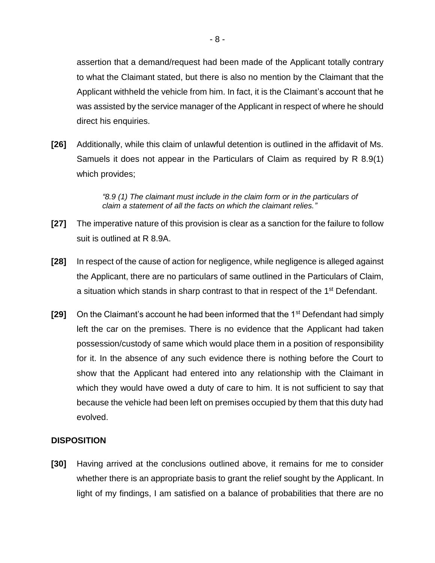assertion that a demand/request had been made of the Applicant totally contrary to what the Claimant stated, but there is also no mention by the Claimant that the Applicant withheld the vehicle from him. In fact, it is the Claimant's account that he was assisted by the service manager of the Applicant in respect of where he should direct his enquiries.

**[26]** Additionally, while this claim of unlawful detention is outlined in the affidavit of Ms. Samuels it does not appear in the Particulars of Claim as required by R 8.9(1) which provides;

> *"8.9 (1) The claimant must include in the claim form or in the particulars of claim a statement of all the facts on which the claimant relies."*

- **[27]** The imperative nature of this provision is clear as a sanction for the failure to follow suit is outlined at R 8.9A.
- **[28]** In respect of the cause of action for negligence, while negligence is alleged against the Applicant, there are no particulars of same outlined in the Particulars of Claim, a situation which stands in sharp contrast to that in respect of the 1<sup>st</sup> Defendant.
- **[29]** On the Claimant's account he had been informed that the 1<sup>st</sup> Defendant had simply left the car on the premises. There is no evidence that the Applicant had taken possession/custody of same which would place them in a position of responsibility for it. In the absence of any such evidence there is nothing before the Court to show that the Applicant had entered into any relationship with the Claimant in which they would have owed a duty of care to him. It is not sufficient to say that because the vehicle had been left on premises occupied by them that this duty had evolved.

### **DISPOSITION**

**[30]** Having arrived at the conclusions outlined above, it remains for me to consider whether there is an appropriate basis to grant the relief sought by the Applicant. In light of my findings, I am satisfied on a balance of probabilities that there are no